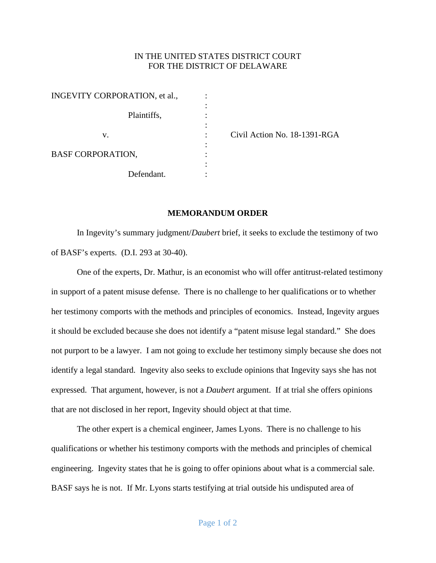## IN THE UNITED STATES DISTRICT COURT FOR THE DISTRICT OF DELAWARE

| INGEVITY CORPORATION, et al., |  |
|-------------------------------|--|
|                               |  |
| Plaintiffs,                   |  |
|                               |  |
| V.                            |  |
| <b>BASF CORPORATION,</b>      |  |
|                               |  |
| Defendant.                    |  |

Civil Action No. 18-1391-RGA

## **MEMORANDUM ORDER**

In Ingevity's summary judgment/*Daubert* brief, it seeks to exclude the testimony of two of BASF's experts. (D.I. 293 at 30-40).

One of the experts, Dr. Mathur, is an economist who will offer antitrust-related testimony in support of a patent misuse defense. There is no challenge to her qualifications or to whether her testimony comports with the methods and principles of economics. Instead, Ingevity argues it should be excluded because she does not identify a "patent misuse legal standard." She does not purport to be a lawyer. I am not going to exclude her testimony simply because she does not identify a legal standard. Ingevity also seeks to exclude opinions that Ingevity says she has not expressed. That argument, however, is not a *Daubert* argument. If at trial she offers opinions that are not disclosed in her report, Ingevity should object at that time.

The other expert is a chemical engineer, James Lyons. There is no challenge to his qualifications or whether his testimony comports with the methods and principles of chemical engineering. Ingevity states that he is going to offer opinions about what is a commercial sale. BASF says he is not. If Mr. Lyons starts testifying at trial outside his undisputed area of